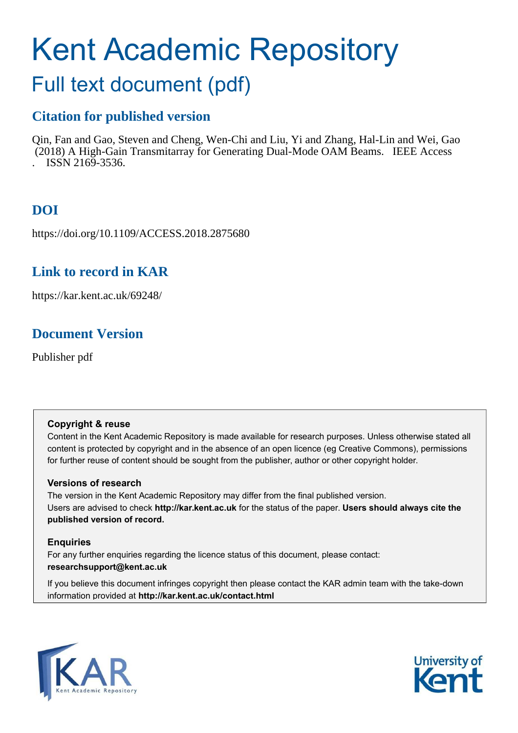# Kent Academic Repository

# Full text document (pdf)

### **Citation for published version**

Qin, Fan and Gao, Steven and Cheng, Wen-Chi and Liu, Yi and Zhang, Hal-Lin and Wei, Gao (2018) A High-Gain Transmitarray for Generating Dual-Mode OAM Beams. IEEE Access . ISSN 2169-3536.

# **DOI**

https://doi.org/10.1109/ACCESS.2018.2875680

### **Link to record in KAR**

https://kar.kent.ac.uk/69248/

## **Document Version**

Publisher pdf

#### **Copyright & reuse**

Content in the Kent Academic Repository is made available for research purposes. Unless otherwise stated all content is protected by copyright and in the absence of an open licence (eg Creative Commons), permissions for further reuse of content should be sought from the publisher, author or other copyright holder.

#### **Versions of research**

The version in the Kent Academic Repository may differ from the final published version. Users are advised to check **http://kar.kent.ac.uk** for the status of the paper. **Users should always cite the published version of record.**

#### **Enquiries**

For any further enquiries regarding the licence status of this document, please contact: **researchsupport@kent.ac.uk**

If you believe this document infringes copyright then please contact the KAR admin team with the take-down information provided at **http://kar.kent.ac.uk/contact.html**



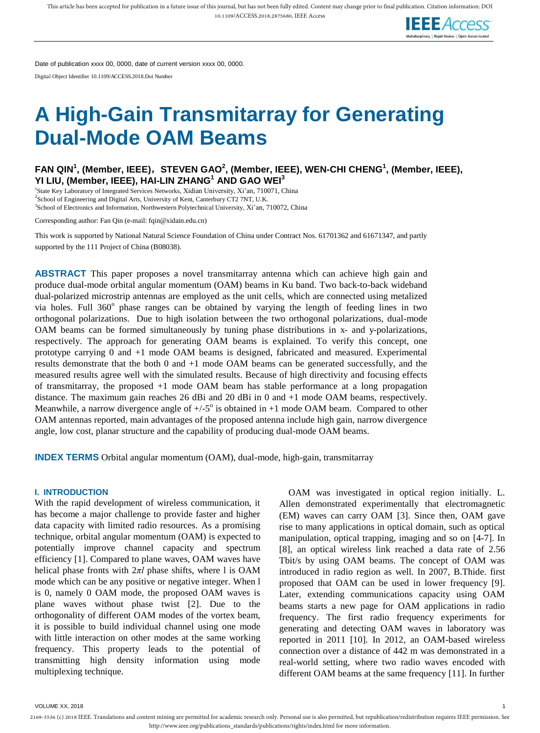

Date of publication xxxx 00, 0000, date of current version xxxx 00, 0000.

Digital Object Identifier 10.1109/ACCESS.2018.Doi Number

# **A High-Gain Transmitarray for Generating Dual-Mode OAM Beams**

**FAN QIN<sup>1</sup> , (Member, IEEE)**\$**STEVEN GAO<sup>2</sup> , (Member, IEEE), WEN-CHI CHENG<sup>1</sup> , (Member, IEEE), YI LIU, (Member, IEEE), HAI-LIN ZHANG<sup>1</sup> AND GAO WEI<sup>3</sup>**

<sup>1</sup>State Key Laboratory of Integrated Services Networks, Xidian University, Xi'an, 710071, China <sup>2</sup>School of Engineering and Digital Arts, University of Kent, Canterbury CT2 7NT, U.K.

<sup>3</sup>School of Electronics and Information, Northwestern Polytechnical University, Xi'an, 710072, China

Corresponding author: Fan Qin (e-mail: fqin@xidain.edu.cn)

This work is supported by National Natural Science Foundation of China under Contract Nos. 61701362 and 61671347, and partly supported by the 111 Project of China (B08038).

**ABSTRACT** This paper proposes a novel transmitarray antenna which can achieve high gain and produce dual-mode orbital angular momentum (OAM) beams in Ku band. Two back-to-back wideband dual-polarized microstrip antennas are employed as the unit cells, which are connected using metalized via holes. Full 360° phase ranges can be obtained by varying the length of feeding lines in two orthogonal polarizations. Due to high isolation between the two orthogonal polarizations, dual-mode OAM beams can be formed simultaneously by tuning phase distributions in x- and y-polarizations, respectively. The approach for generating OAM beams is explained. To verify this concept, one prototype carrying 0 and +1 mode OAM beams is designed, fabricated and measured. Experimental results demonstrate that the both 0 and +1 mode OAM beams can be generated successfully, and the measured results agree well with the simulated results. Because of high directivity and focusing effects of transmitarray, the proposed +1 mode OAM beam has stable performance at a long propagation distance. The maximum gain reaches 26 dBi and 20 dBi in 0 and +1 mode OAM beams, respectively. Meanwhile, a narrow divergence angle of  $+/-5^{\circ}$  is obtained in  $+1$  mode OAM beam. Compared to other OAM antennas reported, main advantages of the proposed antenna include high gain, narrow divergence angle, low cost, planar structure and the capability of producing dual-mode OAM beams.

**INDEX TERMS** Orbital angular momentum (OAM), dual-mode, high-gain, transmitarray

#### **I. INTRODUCTION**

With the rapid development of wireless communication, it has become a major challenge to provide faster and higher data capacity with limited radio resources. As a promising technique, orbital angular momentum (OAM) is expected to potentially improve channel capacity and spectrum efficiency [1]. Compared to plane waves, OAM waves have helical phase fronts with  $2\pi l$  phase shifts, where l is OAM mode which can be any positive or negative integer. When l is 0, namely 0 OAM mode, the proposed OAM waves is plane waves without phase twist [2]. Due to the orthogonality of different OAM modes of the vortex beam, it is possible to build individual channel using one mode with little interaction on other modes at the same working frequency. This property leads to the potential of transmitting high density information using mode multiplexing technique.

OAM was investigated in optical region initially. L. Allen demonstrated experimentally that electromagnetic (EM) waves can carry OAM [3]. Since then, OAM gave rise to many applications in optical domain, such as optical manipulation, optical trapping, imaging and so on [4-7]. In [8], an optical wireless link reached a data rate of 2.56 Tbit/s by using OAM beams. The concept of OAM was introduced in radio region as well. In 2007, B.Thide. first proposed that OAM can be used in lower frequency [9]. Later, extending communications capacity using OAM beams starts a new page for OAM applications in radio frequency. The first radio frequency experiments for generating and detecting OAM waves in laboratory was reported in 2011 [10]. In 2012, an OAM-based wireless connection over a distance of 442 m was demonstrated in a real-world setting, where two radio waves encoded with different OAM beams at the same frequency [11]. In further

VOLUME XX, 2018 1

2169-3536 (c) 2018 IEEE. Translations and content mining are permitted for academic research only. Personal use is also permitted, but republication/redistribution requires IEEE permission. See http://www.ieee.org/publications\_standards/publications/rights/index.html for more information.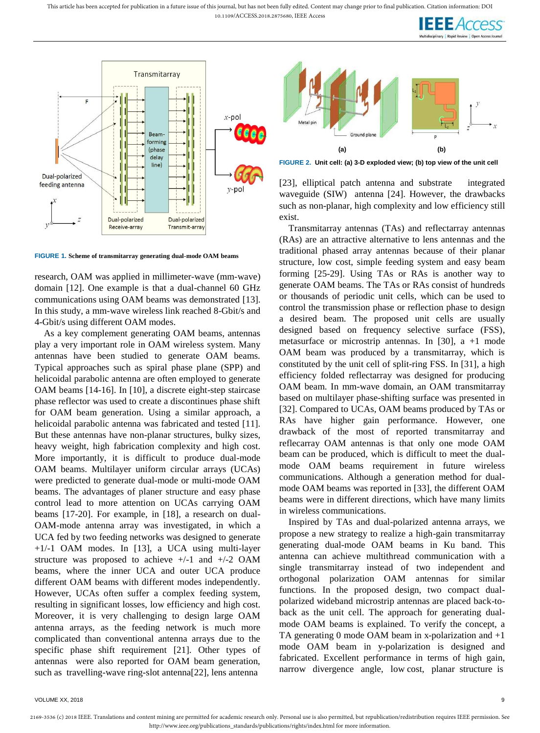This article has been accepted for publication in a future issue of this journal, but has not been fully edited. Content may change prior to final publication. Citation information: DOI 10.1109/ACCESS.2018.2875680, IEEE Access





**FIGURE 1. Scheme of transmitarray generating dual-mode OAM beams** 

research, OAM was applied in millimeter-wave (mm-wave) domain [12]. One example is that a dual-channel 60 GHz communications using OAM beams was demonstrated [13]. In this study, a mm-wave wireless link reached 8-Gbit/s and 4-Gbit/s using different OAM modes.

As a key complement generating OAM beams, antennas play a very important role in OAM wireless system. Many antennas have been studied to generate OAM beams. Typical approaches such as spiral phase plane (SPP) and helicoidal parabolic antenna are often employed to generate OAM beams [14-16]. In [10], a discrete eight-step staircase phase reflector was used to create a discontinues phase shift for OAM beam generation. Using a similar approach, a helicoidal parabolic antenna was fabricated and tested [11]. But these antennas have non-planar structures, bulky sizes, heavy weight, high fabrication complexity and high cost. More importantly, it is difficult to produce dual-mode OAM beams. Multilayer uniform circular arrays (UCAs) were predicted to generate dual-mode or multi-mode OAM beams. The advantages of planer structure and easy phase control lead to more attention on UCAs carrying OAM beams [17-20]. For example, in [18], a research on dual-OAM-mode antenna array was investigated, in which a UCA fed by two feeding networks was designed to generate +1/-1 OAM modes. In [13], a UCA using multi-layer structure was proposed to achieve  $+/-1$  and  $+/-2$  OAM beams, where the inner UCA and outer UCA produce different OAM beams with different modes independently. However, UCAs often suffer a complex feeding system, resulting in significant losses, low efficiency and high cost. Moreover, it is very challenging to design large OAM antenna arrays, as the feeding network is much more complicated than conventional antenna arrays due to the specific phase shift requirement [21]. Other types of antennas were also reported for OAM beam generation, such as travelling-wave ring-slot antenna[22], lens antenna



**FIGURE 2. Unit cell: (a) 3-D exploded view; (b) top view of the unit cell**

[23], elliptical patch antenna and substrate integrated waveguide (SIW) antenna [24]. However, the drawbacks such as non-planar, high complexity and low efficiency still exist.

Transmitarray antennas (TAs) and reflectarray antennas (RAs) are an attractive alternative to lens antennas and the traditional phased array antennas because of their planar structure, low cost, simple feeding system and easy beam forming [25-29]. Using TAs or RAs is another way to generate OAM beams. The TAs or RAs consist of hundreds or thousands of periodic unit cells, which can be used to control the transmission phase or reflection phase to design a desired beam. The proposed unit cells are usually designed based on frequency selective surface (FSS), metasurface or microstrip antennas. In [30], a  $+1$  mode OAM beam was produced by a transmitarray, which is constituted by the unit cell of split-ring FSS. In [31], a high efficiency folded reflectarray was designed for producing OAM beam. In mm-wave domain, an OAM transmitarray based on multilayer phase-shifting surface was presented in [32]. Compared to UCAs, OAM beams produced by TAs or RAs have higher gain performance. However, one drawback of the most of reported transmitarray and reflecarray OAM antennas is that only one mode OAM beam can be produced, which is difficult to meet the dualmode OAM beams requirement in future wireless communications. Although a generation method for dualmode OAM beams was reported in [33], the different OAM beams were in different directions, which have many limits in wireless communications.

Inspired by TAs and dual-polarized antenna arrays, we propose a new strategy to realize a high-gain transmitarray generating dual-mode OAM beams in Ku band. This antenna can achieve multithread communication with a single transmitarray instead of two independent and orthogonal polarization OAM antennas for similar functions. In the proposed design, two compact dualpolarized wideband microstrip antennas are placed back-toback as the unit cell. The approach for generating dualmode OAM beams is explained. To verify the concept, a TA generating 0 mode OAM beam in x-polarization and  $+1$ mode OAM beam in y-polarization is designed and fabricated. Excellent performance in terms of high gain, narrow divergence angle, low cost, planar structure is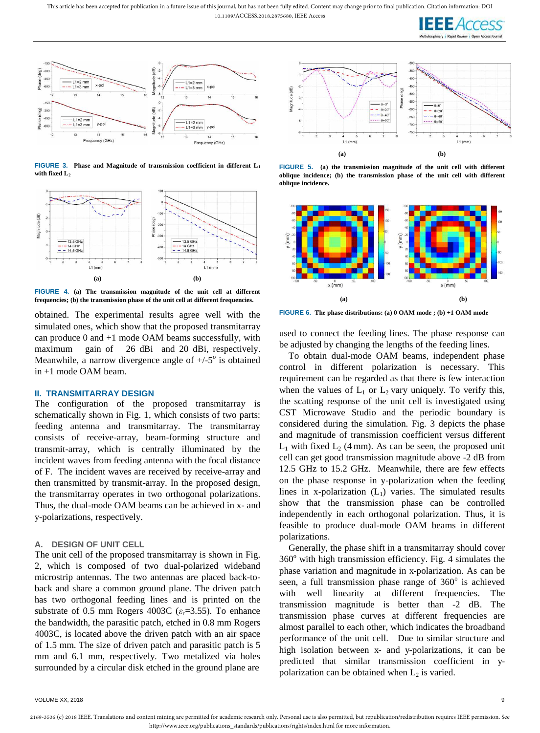

**FIGURE 3. Phase and Magnitude of transmission coefficient in different L<sup>1</sup> with fixed L**<sub>2</sub>



**FIGURE 4. (a) The transmission magnitude of the unit cell at different frequencies; (b) the transmission phase of the unit cell at different frequencies.** 

obtained. The experimental results agree well with the simulated ones, which show that the proposed transmitarray can produce 0 and +1 mode OAM beams successfully, with maximum gain of 26 dBi and 20 dBi, respectively. Meanwhile, a narrow divergence angle of  $+/-5$ <sup>o</sup> is obtained in +1 mode OAM beam.

#### **II. TRANSMITARRAY DESIGN**

The configuration of the proposed transmitarray is schematically shown in Fig. 1, which consists of two parts: feeding antenna and transmitarray. The transmitarray consists of receive-array, beam-forming structure and transmit-array, which is centrally illuminated by the incident waves from feeding antenna with the focal distance of F. The incident waves are received by receive-array and then transmitted by transmit-array. In the proposed design, the transmitarray operates in two orthogonal polarizations. Thus, the dual-mode OAM beams can be achieved in x- and y-polarizations, respectively.

#### **A. DESIGN OF UNIT CELL**

The unit cell of the proposed transmitarray is shown in Fig. 2, which is composed of two dual-polarized wideband microstrip antennas. The two antennas are placed back-toback and share a common ground plane. The driven patch has two orthogonal feeding lines and is printed on the substrate of 0.5 mm Rogers 4003C ( $\varepsilon$ <sub>r</sub>=3.55). To enhance the bandwidth, the parasitic patch, etched in 0.8 mm Rogers 4003C, is located above the driven patch with an air space of 1.5 mm. The size of driven patch and parasitic patch is 5 mm and 6.1 mm, respectively. Two metalized via holes surrounded by a circular disk etched in the ground plane are



**IEEE** Acces

**FIGURE 5. (a) the transmission magnitude of the unit cell with different oblique incidence; (b) the transmission phase of the unit cell with different oblique incidence.** 



**FIGURE 6. The phase distributions: (a) 0 OAM mode ; (b) +1 OAM mode** 

used to connect the feeding lines. The phase response can be adjusted by changing the lengths of the feeding lines.

To obtain dual-mode OAM beams, independent phase control in different polarization is necessary. This requirement can be regarded as that there is few interaction when the values of  $L_1$  or  $L_2$  vary uniquely. To verify this, the scatting response of the unit cell is investigated using CST Microwave Studio and the periodic boundary is considered during the simulation. Fig. 3 depicts the phase and magnitude of transmission coefficient versus different  $L_1$  with fixed  $L_2$  (4 mm). As can be seen, the proposed unit cell can get good transmission magnitude above -2 dB from 12.5 GHz to 15.2 GHz. Meanwhile, there are few effects on the phase response in y-polarization when the feeding lines in x-polarization  $(L_1)$  varies. The simulated results show that the transmission phase can be controlled independently in each orthogonal polarization. Thus, it is feasible to produce dual-mode OAM beams in different polarizations.

 Generally, the phase shift in a transmitarray should cover 360° with high transmission efficiency. Fig. 4 simulates the phase variation and magnitude in x-polarization. As can be seen, a full transmission phase range of  $360^\circ$  is achieved with well linearity at different frequencies. The transmission magnitude is better than -2 dB. The transmission phase curves at different frequencies are almost parallel to each other, which indicates the broadband performance of the unit cell. Due to similar structure and high isolation between x- and y-polarizations, it can be predicted that similar transmission coefficient in ypolarization can be obtained when  $L_2$  is varied.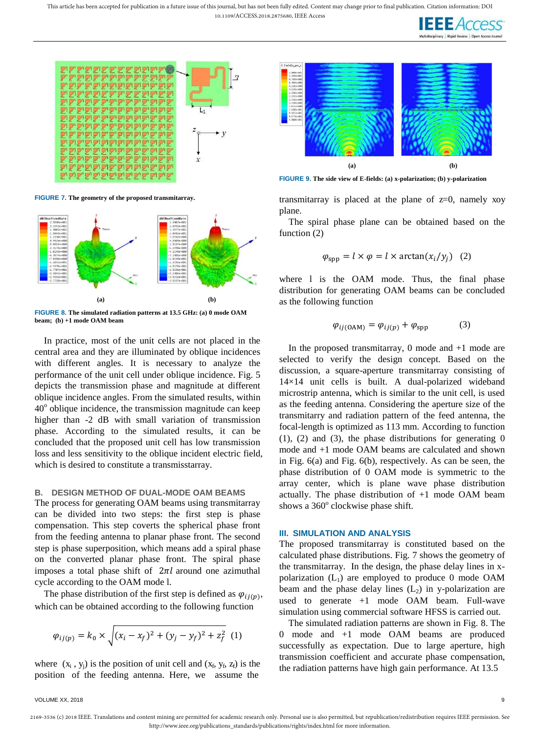



**FIGURE 7. The geometry of the proposed transmitarray.** 



**FIGURE 8. The simulated radiation patterns at 13.5 GHz: (a) 0 mode OAM beam; (b) +1 mode OAM beam** 

In practice, most of the unit cells are not placed in the central area and they are illuminated by oblique incidences with different angles. It is necessary to analyze the performance of the unit cell under oblique incidence. Fig. 5 depicts the transmission phase and magnitude at different oblique incidence angles. From the simulated results, within 40° oblique incidence, the transmission magnitude can keep higher than  $-2$  dB with small variation of transmission phase. According to the simulated results, it can be concluded that the proposed unit cell has low transmission loss and less sensitivity to the oblique incident electric field, which is desired to constitute a transmisstarray.

#### **B. DESIGN METHOD OF DUAL-MODE OAM BEAMS**

The process for generating OAM beams using transmitarray can be divided into two steps: the first step is phase compensation. This step coverts the spherical phase front from the feeding antenna to planar phase front. The second step is phase superposition, which means add a spiral phase on the converted planar phase front. The spiral phase imposes a total phase shift of  $2\pi l$  around one azimuthal cycle according to the OAM mode l.

The phase distribution of the first step is defined as  $\varphi_{i\ell(\nu)}$ , which can be obtained according to the following function

$$
\varphi_{ij(p)} = k_0 \times \sqrt{(x_i - x_f)^2 + (y_j - y_f)^2 + z_f^2}
$$
 (1)

where  $(x_i, y_j)$  is the position of unit cell and  $(x_f, y_f, z_f)$  is the position of the feeding antenna. Here, we assume the



**FIGURE 9. The side view of E-fields: (a) x-polarization; (b) y-polarization** 

transmitarray is placed at the plane of  $z=0$ , namely xoy plane.

 The spiral phase plane can be obtained based on the function (2)

$$
\varphi_{\text{spp}} = l \times \varphi = l \times \arctan(x_i/y_j) \quad (2)
$$

where 1 is the OAM mode. Thus, the final phase distribution for generating OAM beams can be concluded as the following function

$$
\varphi_{ij(OAM)} = \varphi_{ij(p)} + \varphi_{\text{spp}} \tag{3}
$$

In the proposed transmitarray,  $0$  mode and  $+1$  mode are selected to verify the design concept. Based on the discussion, a square-aperture transmitarray consisting of 14×14 unit cells is built. A dual-polarized wideband microstrip antenna, which is similar to the unit cell, is used as the feeding antenna. Considering the aperture size of the transmitarry and radiation pattern of the feed antenna, the focal-length is optimized as 113 mm. According to function  $(1)$ ,  $(2)$  and  $(3)$ , the phase distributions for generating 0 mode and +1 mode OAM beams are calculated and shown in Fig. 6(a) and Fig. 6(b), respectively. As can be seen, the phase distribution of 0 OAM mode is symmetric to the array center, which is plane wave phase distribution actually. The phase distribution of +1 mode OAM beam shows a 360° clockwise phase shift.

#### **III. SIMULATION AND ANALYSIS**

The proposed transmitarray is constituted based on the calculated phase distributions. Fig. 7 shows the geometry of the transmitarray. In the design, the phase delay lines in xpolarization  $(L_1)$  are employed to produce 0 mode OAM beam and the phase delay lines  $(L<sub>2</sub>)$  in y-polarization are used to generate +1 mode OAM beam. Full-wave simulation using commercial software HFSS is carried out.

The simulated radiation patterns are shown in Fig. 8. The 0 mode and +1 mode OAM beams are produced successfully as expectation. Due to large aperture, high transmission coefficient and accurate phase compensation, the radiation patterns have high gain performance. At 13.5

<sup>2169-3536 (</sup>c) 2018 IEEE. Translations and content mining are permitted for academic research only. Personal use is also permitted, but republication/redistribution requires IEEE permission. See http://www.ieee.org/publications\_standards/publications/rights/index.html for more information.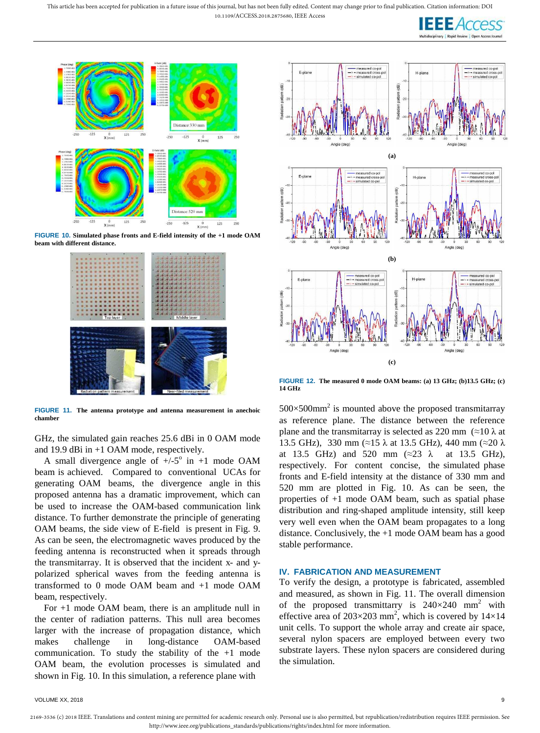



**FIGURE 10. Simulated phase fronts and E-field intensity of the +1 mode OAM beam with different distance.** 



**FIGURE 11. The antenna prototype and antenna measurement in anechoic chamber** 

GHz, the simulated gain reaches 25.6 dBi in 0 OAM mode and 19.9 dBi in +1 OAM mode, respectively.

A small divergence angle of  $+/5^\circ$  in  $+1$  mode OAM beam is achieved. Compared to conventional UCAs for generating OAM beams, the divergence angle in this proposed antenna has a dramatic improvement, which can be used to increase the OAM-based communication link distance. To further demonstrate the principle of generating OAM beams, the side view of E-field is present in Fig. 9. As can be seen, the electromagnetic waves produced by the feeding antenna is reconstructed when it spreads through the transmitarray. It is observed that the incident x- and ypolarized spherical waves from the feeding antenna is transformed to 0 mode OAM beam and +1 mode OAM beam, respectively.

For +1 mode OAM beam, there is an amplitude null in the center of radiation patterns. This null area becomes larger with the increase of propagation distance, which makes challenge in long-distance OAM-based communication. To study the stability of the  $+1$  mode OAM beam, the evolution processes is simulated and shown in Fig. 10. In this simulation, a reference plane with



**FIGURE 12. The measured 0 mode OAM beams: (a) 13 GHz; (b)13.5 GHz; (c) 14 GHz** 

 $500\times500$ mm<sup>2</sup> is mounted above the proposed transmitarray as reference plane. The distance between the reference plane and the transmitarray is selected as 220 mm  $(\approx 10 \lambda \text{ at } \lambda)$ 13.5 GHz), 330 mm (≈15 λ at 13.5 GHz), 440 mm (≈20 λ at 13.5 GHz) and 520 mm ( $\approx$ 23  $\lambda$  at 13.5 GHz), respectively. For content concise, the simulated phase fronts and E-field intensity at the distance of 330 mm and 520 mm are plotted in Fig. 10. As can be seen, the properties of +1 mode OAM beam, such as spatial phase distribution and ring-shaped amplitude intensity, still keep very well even when the OAM beam propagates to a long distance. Conclusively, the +1 mode OAM beam has a good stable performance.

#### **IV. FABRICATION AND MEASUREMENT**

To verify the design, a prototype is fabricated, assembled and measured, as shown in Fig. 11. The overall dimension of the proposed transmittarry is  $240 \times 240$  mm<sup>2</sup> with effective area of  $203 \times 203$  mm<sup>2</sup>, which is covered by  $14 \times 14$ unit cells. To support the whole array and create air space, several nylon spacers are employed between every two substrate layers. These nylon spacers are considered during the simulation.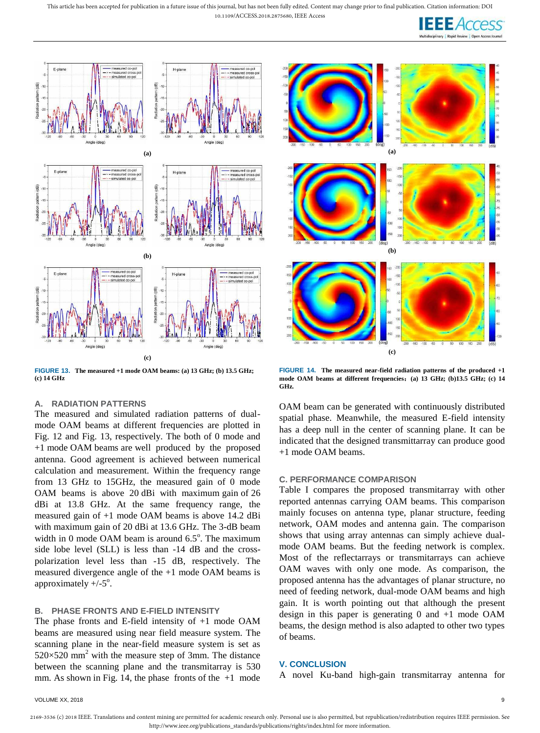

**FIGURE 13. The measured +1 mode OAM beams: (a) 13 GHz; (b) 13.5 GHz; (c) 14 GHz** 

#### **A. RADIATION PATTERNS**

The measured and simulated radiation patterns of dualmode OAM beams at different frequencies are plotted in Fig. 12 and Fig. 13, respectively. The both of 0 mode and +1 mode OAM beams are well produced by the proposed antenna. Good agreement is achieved between numerical calculation and measurement. Within the frequency range from 13 GHz to 15GHz, the measured gain of 0 mode OAM beams is above 20 dBi with maximum gain of 26 dBi at 13.8 GHz. At the same frequency range, the measured gain of +1 mode OAM beams is above 14.2 dBi with maximum gain of 20 dBi at 13.6 GHz. The 3-dB beam width in 0 mode OAM beam is around  $6.5^\circ$ . The maximum side lobe level (SLL) is less than -14 dB and the crosspolarization level less than -15 dB, respectively. The measured divergence angle of the +1 mode OAM beams is approximately  $+/-5^\circ$ .

#### **B. PHASE FRONTS AND E-FIELD INTENSITY**

The phase fronts and E-field intensity of +1 mode OAM beams are measured using near field measure system. The scanning plane in the near-field measure system is set as  $520\times520$  mm<sup>2</sup> with the measure step of 3mm. The distance between the scanning plane and the transmitarray is 530 mm. As shown in Fig. 14, the phase fronts of the  $+1$  mode



**IEEE** Acces

**FIGURE 14. The measured near-field radiation patterns of the produced +1**  mode OAM beams at different frequencies: (a) 13 GHz; (b)13.5 GHz; (c) 14 **GHz.** 

OAM beam can be generated with continuously distributed spatial phase. Meanwhile, the measured E-field intensity has a deep null in the center of scanning plane. It can be indicated that the designed transmittarray can produce good +1 mode OAM beams.

#### **C. PERFORMANCE COMPARISON**

Table I compares the proposed transmitarray with other reported antennas carrying OAM beams. This comparison mainly focuses on antenna type, planar structure, feeding network, OAM modes and antenna gain. The comparison shows that using array antennas can simply achieve dualmode OAM beams. But the feeding network is complex. Most of the reflectarrays or transmitarrays can achieve OAM waves with only one mode. As comparison, the proposed antenna has the advantages of planar structure, no need of feeding network, dual-mode OAM beams and high gain. It is worth pointing out that although the present design in this paper is generating 0 and +1 mode OAM beams, the design method is also adapted to other two types of beams.

#### **V. CONCLUSION**

A novel Ku-band high-gain transmitarray antenna for

2169-3536 (c) 2018 IEEE. Translations and content mining are permitted for academic research only. Personal use is also permitted, but republication/redistribution requires IEEE permission. See http://www.ieee.org/publications\_standards/publications/rights/index.html for more information.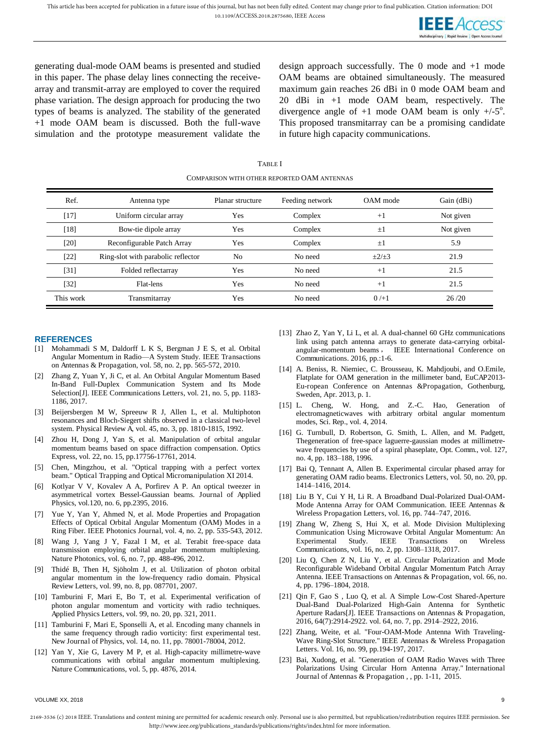10.1109/ACCESS.2018.2875680, IEEE Access

**IEEE** Access Multidisciplinary : Rapid Review : Open Access Journal

generating dual-mode OAM beams is presented and studied in this paper. The phase delay lines connecting the receivearray and transmit-array are employed to cover the required phase variation. The design approach for producing the two types of beams is analyzed. The stability of the generated +1 mode OAM beam is discussed. Both the full-wave simulation and the prototype measurement validate the design approach successfully. The  $0$  mode and  $+1$  mode OAM beams are obtained simultaneously. The measured maximum gain reaches 26 dBi in 0 mode OAM beam and 20 dBi in +1 mode OAM beam, respectively. The divergence angle of  $+1$  mode OAM beam is only  $+/-5^\circ$ . This proposed transmitarray can be a promising candidate in future high capacity communications.

TABLE I COMPARISON WITH OTHER REPORTED OAM ANTENNAS

| Ref.      | Antenna type                       | Planar structure | Feeding network | OAM mode      | Gain (dBi) |
|-----------|------------------------------------|------------------|-----------------|---------------|------------|
| $[17]$    | Uniform circular array             | Yes              | Complex         | $+1$          | Not given  |
| $[18]$    | Bow-tie dipole array               | Yes              | Complex         | $\pm 1$       | Not given  |
| $[20]$    | Reconfigurable Patch Array         | Yes              | Complex         | $\pm 1$       | 5.9        |
| $[22]$    | Ring-slot with parabolic reflector | No               | No need         | $\pm 2/\pm 3$ | 21.9       |
| $[31]$    | Folded reflectarray                | Yes              | No need         | $+1$          | 21.5       |
| $[32]$    | Flat-lens                          | Yes              | No need         | $+1$          | 21.5       |
| This work | Transmitarray                      | Yes              | No need         | 0/1           | 26/20      |

#### **REFERENCES**

- [1] Mohammadi S M, Daldorff L K S, Bergman J E S, et al. Orbital Angular Momentum in Radio—A System Study. IEEE Transactions on Antennas & Propagation, vol. 58, no. 2, pp. 565-572, 2010.
- [2] Zhang Z, Yuan Y, Ji C, et al. An Orbital Angular Momentum Based In-Band Full-Duplex Communication System and Its Mode Selection[J]. IEEE Communications Letters, vol. 21, no. 5, pp. 1183- 1186, 2017.
- [3] Beijersbergen M W, Spreeuw R J, Allen L, et al. Multiphoton resonances and Bloch-Siegert shifts observed in a classical two-level system. Physical Review A, vol. 45, no. 3, pp. 1810-1815, 1992.
- [4] Zhou H, Dong J, Yan S, et al. Manipulation of orbital angular momentum beams based on space diffraction compensation. Optics Express, vol. 22, no. 15, pp.17756-17761, 2014.
- [5] Chen, Mingzhou, et al. "Optical trapping with a perfect vortex beam." Optical Trapping and Optical Micromanipulation XI 2014.
- [6] Kotlyar V V, Kovalev A A, Porfirev A P. An optical tweezer in asymmetrical vortex Bessel-Gaussian beams. Journal of Applied Physics, vol.120, no. 6, pp.2395, 2016.
- [7] Yue Y, Yan Y, Ahmed N, et al. Mode Properties and Propagation Effects of Optical Orbital Angular Momentum (OAM) Modes in a Ring Fiber. IEEE Photonics Journal, vol. 4, no. 2, pp. 535-543, 2012.
- [8] Wang J, Yang J Y, Fazal I M, et al. Terabit free-space data transmission employing orbital angular momentum multiplexing. Nature Photonics, vol. 6, no. 7, pp. 488-496, 2012.
- [9] Thidé B, Then H, Sjöholm J, et al. Utilization of photon orbital angular momentum in the low-frequency radio domain. Physical Review Letters, vol. 99, no. 8, pp. 087701, 2007.
- [10] Tamburini F, Mari E, Bo T, et al. Experimental verification of photon angular momentum and vorticity with radio techniques. Applied Physics Letters, vol. 99, no. 20, pp. 321, 2011.
- [11] Tamburini F, Mari E, Sponselli A, et al. Encoding many channels in the same frequency through radio vorticity: first experimental test. New Journal of Physics, vol. 14, no. 11, pp. 78001-78004, 2012.
- [12] Yan Y, Xie G, Lavery M P, et al. High-capacity millimetre-wave communications with orbital angular momentum multiplexing. Nature Communications, vol. 5, pp. 4876, 2014.
- [13] Zhao Z, Yan Y, Li L, et al. A dual-channel 60 GHz communications link using patch antenna arrays to generate data-carrying orbitalangular-momentum beams, IEEE International Conference on Communications. 2016, pp.:1-6.
- [14] A. Beniss, R. Niemiec, C. Brousseau, K. Mahdjoubi, and O.Emile, Flatplate for OAM generation in the millimeter band, EuCAP2013- Eu-ropean Conference on Antennas &Propagation, Gothenburg, Sweden, Apr. 2013, p. 1.
- [15] L. Cheng, W. Hong, and Z.-C. Hao, Generation of electromagneticwaves with arbitrary orbital angular momentum modes, Sci. Rep., vol. 4, 2014.
- [16] G. Turnbull, D. Robertson, G. Smith, L. Allen, and M. Padgett, Thegeneration of free-space laguerre-gaussian modes at millimetrewave frequencies by use of a spiral phaseplate, Opt. Comm., vol. 127, no. 4, pp. 183–188, 1996.
- [17] Bai Q, Tennant A, Allen B. Experimental circular phased array for generating OAM radio beams. Electronics Letters, vol. 50, no. 20, pp. 1414–1416, 2014.
- [18] Liu B Y, Cui Y H, Li R. A Broadband Dual-Polarized Dual-OAM-Mode Antenna Array for OAM Communication. IEEE Antennas & Wireless Propagation Letters, vol. 16, pp. 744–747, 2016.
- [19] Zhang W, Zheng S, Hui X, et al. Mode Division Multiplexing Communication Using Microwave Orbital Angular Momentum: An Experimental Study. IEEE Transactions on Wireless Communications, vol. 16, no. 2, pp. 1308–1318, 2017.
- [20] Liu Q, Chen Z N, Liu Y, et al. Circular Polarization and Mode Reconfigurable Wideband Orbital Angular Momentum Patch Array Antenna. IEEE Transactions on Antennas & Propagation, vol. 66, no. 4, pp. 1796–1804, 2018.
- [21] Qin F, Gao S , Luo Q, et al. A Simple Low-Cost Shared-Aperture Dual-Band Dual-Polarized High-Gain Antenna for Synthetic Aperture Radars[J]. IEEE Transactions on Antennas & Propagation, 2016, 64(7):2914-2922. vol. 64, no. 7, pp. 2914–2922, 2016.
- [22] Zhang, Weite, et al. "Four-OAM-Mode Antenna With Traveling-Wave Ring-Slot Structure." IEEE Antennas & Wireless Propagation Letters. Vol. 16, no. 99, pp.194-197, 2017.
- [23] Bai, Xudong, et al. "Generation of OAM Radio Waves with Three Polarizations Using Circular Horn Antenna Array." International Journal of Antennas & Propagation , , pp. 1-11, 2015.

2169-3536 (c) 2018 IEEE. Translations and content mining are permitted for academic research only. Personal use is also permitted, but republication/redistribution requires IEEE permission. See http://www.ieee.org/publications\_standards/publications/rights/index.html for more information.